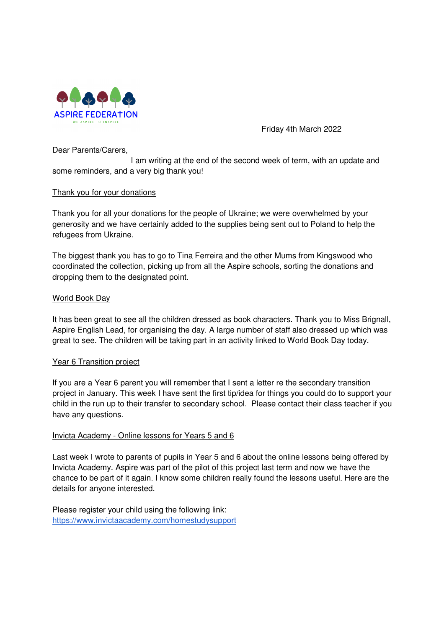

Friday 4th March 2022

Dear Parents/Carers,

 I am writing at the end of the second week of term, with an update and some reminders, and a very big thank you!

### Thank you for your donations

Thank you for all your donations for the people of Ukraine; we were overwhelmed by your generosity and we have certainly added to the supplies being sent out to Poland to help the refugees from Ukraine.

The biggest thank you has to go to Tina Ferreira and the other Mums from Kingswood who coordinated the collection, picking up from all the Aspire schools, sorting the donations and dropping them to the designated point.

### World Book Day

It has been great to see all the children dressed as book characters. Thank you to Miss Brignall, Aspire English Lead, for organising the day. A large number of staff also dressed up which was great to see. The children will be taking part in an activity linked to World Book Day today.

### Year 6 Transition project

If you are a Year 6 parent you will remember that I sent a letter re the secondary transition project in January. This week I have sent the first tip/idea for things you could do to support your child in the run up to their transfer to secondary school. Please contact their class teacher if you have any questions.

### Invicta Academy - Online lessons for Years 5 and 6

Last week I wrote to parents of pupils in Year 5 and 6 about the online lessons being offered by Invicta Academy. Aspire was part of the pilot of this project last term and now we have the chance to be part of it again. I know some children really found the lessons useful. Here are the details for anyone interested.

Please register your child using the following link: https://www.invictaacademy.com/homestudysupport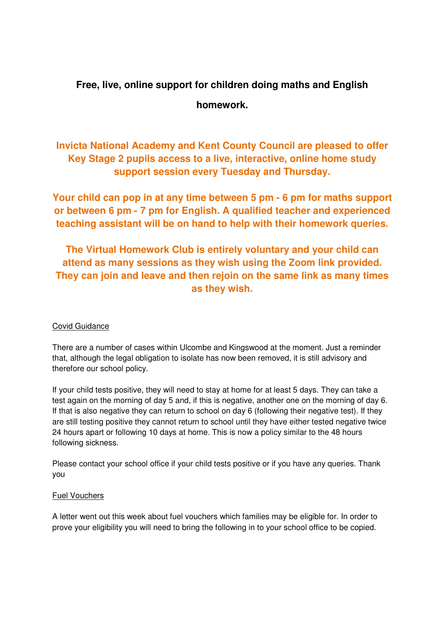# **Free, live, online support for children doing maths and English**

# **homework.**

**Invicta National Academy and Kent County Council are pleased to offer Key Stage 2 pupils access to a live, interactive, online home study support session every Tuesday and Thursday.** 

**Your child can pop in at any time between 5 pm - 6 pm for maths support or between 6 pm - 7 pm for English. A qualified teacher and experienced teaching assistant will be on hand to help with their homework queries.** 

**The Virtual Homework Club is entirely voluntary and your child can attend as many sessions as they wish using the Zoom link provided. They can join and leave and then rejoin on the same link as many times as they wish.** 

## Covid Guidance

There are a number of cases within Ulcombe and Kingswood at the moment. Just a reminder that, although the legal obligation to isolate has now been removed, it is still advisory and therefore our school policy.

If your child tests positive, they will need to stay at home for at least 5 days. They can take a test again on the morning of day 5 and, if this is negative, another one on the morning of day 6. If that is also negative they can return to school on day 6 (following their negative test). If they are still testing positive they cannot return to school until they have either tested negative twice 24 hours apart or following 10 days at home. This is now a policy similar to the 48 hours following sickness.

Please contact your school office if your child tests positive or if you have any queries. Thank you

## Fuel Vouchers

A letter went out this week about fuel vouchers which families may be eligible for. In order to prove your eligibility you will need to bring the following in to your school office to be copied.